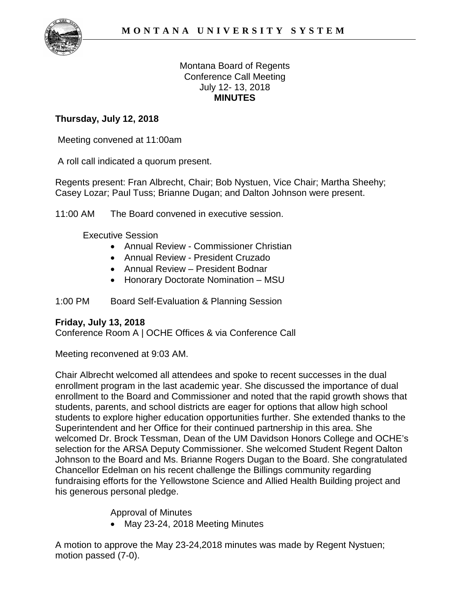

### Montana Board of Regents Conference Call Meeting July 12- 13, 2018 **MINUTES**

# **Thursday, July 12, 2018**

Meeting convened at 11:00am

A roll call indicated a quorum present.

Regents present: Fran Albrecht, Chair; Bob Nystuen, Vice Chair; Martha Sheehy; Casey Lozar; Paul Tuss; Brianne Dugan; and Dalton Johnson were present.

11:00 AM The Board convened in executive session.

Executive Session

- Annual Review Commissioner Christian
- Annual Review President Cruzado
- Annual Review President Bodnar
- Honorary Doctorate Nomination MSU

1:00 PM Board Self-Evaluation & Planning Session

## **Friday, July 13, 2018**

Conference Room A | OCHE Offices & via Conference Call

Meeting reconvened at 9:03 AM.

Chair Albrecht welcomed all attendees and spoke to recent successes in the dual enrollment program in the last academic year. She discussed the importance of dual enrollment to the Board and Commissioner and noted that the rapid growth shows that students, parents, and school districts are eager for options that allow high school students to explore higher education opportunities further. She extended thanks to the Superintendent and her Office for their continued partnership in this area. She welcomed Dr. Brock Tessman, Dean of the UM Davidson Honors College and OCHE's selection for the ARSA Deputy Commissioner. She welcomed Student Regent Dalton Johnson to the Board and Ms. Brianne Rogers Dugan to the Board. She congratulated Chancellor Edelman on his recent challenge the Billings community regarding fundraising efforts for the Yellowstone Science and Allied Health Building project and his generous personal pledge.

Approval of Minutes

• May 23-24, 2018 Meeting Minutes

A motion to approve the May 23-24,2018 minutes was made by Regent Nystuen; motion passed (7-0).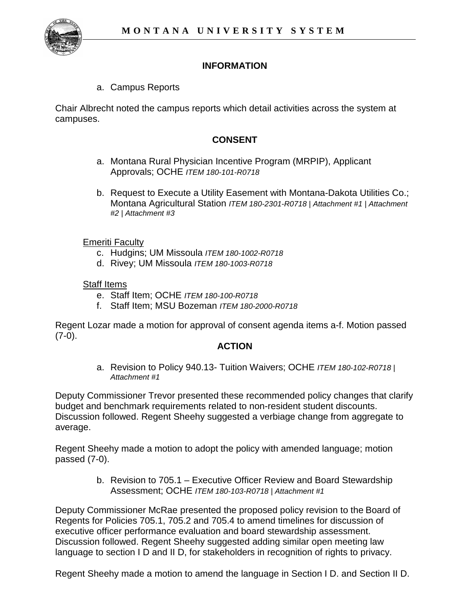

### **INFORMATION**

a. Campus Reports

Chair Albrecht noted the campus reports which detail activities across the system at campuses.

### **CONSENT**

- a. Montana Rural Physician Incentive Program (MRPIP), Applicant Approvals; OCHE *ITEM 180-101-R0718*
- b. Request to Execute a Utility Easement with Montana-Dakota Utilities Co.; Montana Agricultural Station *ITEM 180-2301-R0718 | Attachment #1 | Attachment #2 | Attachment #3*

#### Emeriti Faculty

- c. Hudgins; UM Missoula *ITEM 180-1002-R0718*
- d. Rivey; UM Missoula *ITEM 180-1003-R0718*

#### Staff Items

- e. Staff Item; OCHE *ITEM 180-100-R0718*
- f. Staff Item; MSU Bozeman *ITEM 180-2000-R0718*

Regent Lozar made a motion for approval of consent agenda items a-f. Motion passed  $(7-0)$ .

#### **ACTION**

a. Revision to Policy 940.13- Tuition Waivers; OCHE *ITEM 180-102-R0718 | Attachment #1*

Deputy Commissioner Trevor presented these recommended policy changes that clarify budget and benchmark requirements related to non-resident student discounts. Discussion followed. Regent Sheehy suggested a verbiage change from aggregate to average.

Regent Sheehy made a motion to adopt the policy with amended language; motion passed (7-0).

> b. Revision to 705.1 – Executive Officer Review and Board Stewardship Assessment; OCHE *ITEM 180-103-R0718 | Attachment #1*

Deputy Commissioner McRae presented the proposed policy revision to the Board of Regents for Policies 705.1, 705.2 and 705.4 to amend timelines for discussion of executive officer performance evaluation and board stewardship assessment. Discussion followed. Regent Sheehy suggested adding similar open meeting law language to section I D and II D, for stakeholders in recognition of rights to privacy.

Regent Sheehy made a motion to amend the language in Section I D. and Section II D.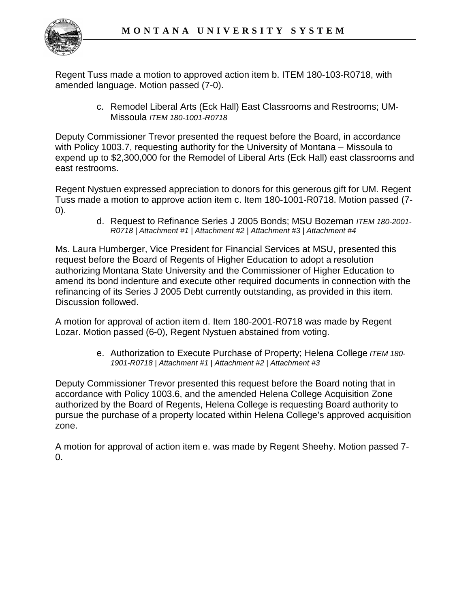

Regent Tuss made a motion to approved action item b. ITEM 180-103-R0718, with amended language. Motion passed (7-0).

> c. Remodel Liberal Arts (Eck Hall) East Classrooms and Restrooms; UM-Missoula *ITEM 180-1001-R0718*

Deputy Commissioner Trevor presented the request before the Board, in accordance with Policy 1003.7, requesting authority for the University of Montana – Missoula to expend up to \$2,300,000 for the Remodel of Liberal Arts (Eck Hall) east classrooms and east restrooms.

Regent Nystuen expressed appreciation to donors for this generous gift for UM. Regent Tuss made a motion to approve action item c. Item 180-1001-R0718. Motion passed (7- 0).

d. Request to Refinance Series J 2005 Bonds; MSU Bozeman *ITEM 180-2001- R0718 | Attachment #1 | Attachment #2 | Attachment #3 | Attachment #4*

Ms. Laura Humberger, Vice President for Financial Services at MSU, presented this request before the Board of Regents of Higher Education to adopt a resolution authorizing Montana State University and the Commissioner of Higher Education to amend its bond indenture and execute other required documents in connection with the refinancing of its Series J 2005 Debt currently outstanding, as provided in this item. Discussion followed.

A motion for approval of action item d. Item 180-2001-R0718 was made by Regent Lozar. Motion passed (6-0), Regent Nystuen abstained from voting.

> e. Authorization to Execute Purchase of Property; Helena College *ITEM 180- 1901-R0718 | Attachment #1 | Attachment #2 | Attachment #3*

Deputy Commissioner Trevor presented this request before the Board noting that in accordance with Policy 1003.6, and the amended Helena College Acquisition Zone authorized by the Board of Regents, Helena College is requesting Board authority to pursue the purchase of a property located within Helena College's approved acquisition zone.

A motion for approval of action item e. was made by Regent Sheehy. Motion passed 7-  $\Omega$ .